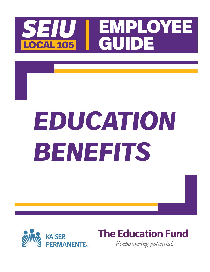

# *EDUCATION BENEFITS*



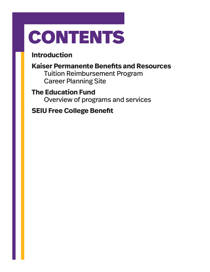## CONTENTS

### **Introduction**

### **Kaiser Permanente Benefits and Resources**

Tuition Reimbursement Program Career Planning Site

### **The Education Fund**

Overview of programs and services

### **SEIU Free College Benefit**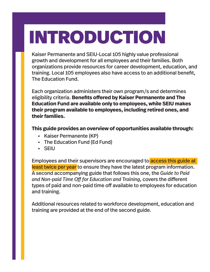## INTRODUCTION

Kaiser Permanente and SEIU-Local 105 highly value professional growth and development for all employees and their families. Both organizations provide resources for career development, education, and training. Local 105 employees also have access to an additional benefit, The Education Fund.

Each organization administers their own program/s and determines eligibility criteria. **Benefits offered by Kaiser Permanente and The Education Fund are available only to employees, while SEIU makes their program available to employees, including retired ones, and their families.**

**This guide provides an overview of opportunities available through:**

- **•** Kaiser Permanente (KP)
- **•** The Education Fund (Ed Fund)
- **•** SEIU

Employees and their supervisors are encouraged to access this guide at least twice per year to ensure they have the latest program information. A second accompanying guide that follows this one, the *Guide to Paid and Non-paid Time Off for Education and Training*, covers the different types of paid and non-paid time off available to employees for education and training.

Additional resources related to workforce development, education and training are provided at the end of the second guide.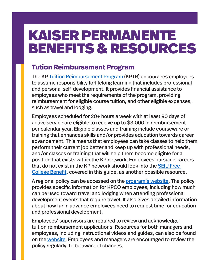### KAISER PERMANENTE BENEFITS & RESOURCES

### **Tution Reimbursement Program**

The KP Tuition Reimbursement Program (KPTR) encourages employees to assume responsibility forlifelong learning that includes professional and personal self-development. It provides financial assistance to employees who meet the requirements of the program, providing reimbursement for eligible course tuition, and other eligible expenses, such as travel and lodging.

Employees scheduled for 20+ hours a week with at least 90 days of active service are eligible to receive up to \$3,000 in reimbursement per calendar year. Eligible classes and training include courseware or training that enhances skills and/or provides education towards career advancement. This means that employees can take classes to help them perform their current job better and keep up with professional needs, and/or classes or training that will help them become eligible for a position that exists within the KP network. Employees pursuing careers that do not exist in the KP network should look into the SEIU Free College Benefit, covered in this guide, as another possible resource.

A regional policy can be accessed on the program's website. The policy provides specific information for KPCO employees, including how much can be used toward travel and lodging when attending professional development events that require travel. It also gives detailed information about how far in advance employees need to request time for education and professional development.

Employees' supervisors are required to review and acknowledge tuition reimbursement applications. Resources for both managers and employees, including instructional videos and guides, can also be found on the website. Employees and managers are encouraged to review the policy regularly, to be aware of changes.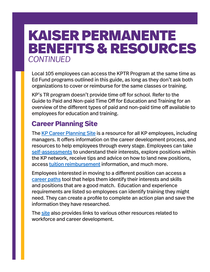### KAISER PERMANENTE BENEFITS & RESOURCES *CONTINUED*

Local 105 employees can access the KPTR Program at the same time as Ed Fund programs outlined in this guide, as long as they don't ask both organizations to cover or reimburse for the same classes or training.

KP's TR program doesn't provide time off for school. Refer to the Guide to Paid and Non-paid Time Off for Education and Training for an overview of the different types of paid and non-paid time off available to employees for education and training.

### **Career Planning Site**

The KP Career Planning Site is a resource for all KP employees, including managers. It offers information on the career development process, and resources to help employees through every stage. Employees can take self-assessments to understand their interests, explore positions within the KP network, receive tips and advice on how to land new positions, access tuition reimbursement information, and much more.

Employees interested in moving to a different position can access a career paths tool that helps them identify their interests and skills and positions that are a good match. Education and experience requirements are listed so employees can identify training they might need. They can create a profile to complete an action plan and save the information they have researched.

The site also provides links to various other resources related to workforce and career development.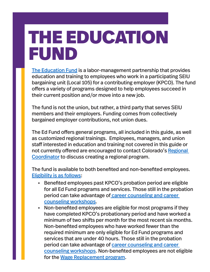### THE EDUCATION FUND

The Education Fund is a labor-management partnership that provides education and training to employees who work in a participating SEIU bargaining unit (Local 105) for a contributing employer (KPCO). The fund offers a variety of programs designed to help employees succeed in their current position and/or move into a new job.

The fund is not the union, but rather, a third party that serves SEIU members and their employers. Funding comes from collectively bargained employer contributions, not union dues.

The Ed Fund offers general programs, all included in this guide, as well as customized regional trainings. Employees, managers, and union staff interested in education and training not covered in this guide or not currently offered are encouraged to contact Colorado's Regional Coordinator to discuss creating a regional program.

The fund is available to both benefited and non-benefited employees. Eligibility is as follows:

- **•** Benefited employees past KPCO's probation period are eligible for all Ed Fund programs and services. Those still in the probation period can take advantage of career counseling and career counseling workshops.
- **•** Non-benefited employees are eligible for most programs if they have completed KPCO's probationary period and have worked a minimum of two shifts per month for the most recent six months. Non-benefited employees who have worked fewer than the required minimum are only eligible for Ed Fund programs and services that are under 40 hours. Those still in the probation period can take advantage of career counseling and career counseling workshops. Non-benefited employees are not eligible for the Wage Replacement program.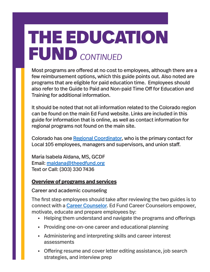Most programs are offered at no cost to employees, although there are a few reimbursement options, which this guide points out. Also noted are programs that are eligible for paid education time. Employees should also refer to the Guide to Paid and Non-paid Time Off for Education and Training for additional information.

It should be noted that not all information related to the Colorado region can be found on the main Ed Fund website. Links are included in this guide for information that is online, as well as contact information for regional programs not found on the main site.

Colorado has one Regional Coordinator, who is the primary contact for Local 105 employees, managers and supervisors, and union staff.

Maria Isabela Aldana, MS, GCDF Email: maldana@theedfund.org Text or Call: (303) 330 7436

#### **Overview of programs and services**

#### Career and academic counseling

The first step employees should take after reviewing the two guides is to connect with a Career Counselor. Ed Fund Career Counselors empower, motivate, educate and prepare employees by:

- **•** Helping them understand and navigate the programs and offerings
- **•** Providing one-on-one career and educational planning
- **•** Administering and interpreting skills and career interest assessments
- **•** Offering resume and cover letter editing assistance, job search strategies, and interview prep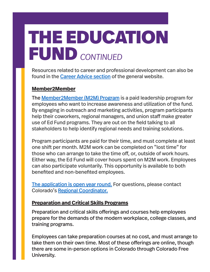Resources related to career and professional development can also be found in the Career Advice section of the general website.

#### **Member2Member**

The Member2Member (M2M) Program is a paid leadership program for employees who want to increase awareness and utilization of the fund. By engaging in outreach and marketing activities, program participants help their coworkers, regional managers, and union staff make greater use of Ed Fund programs. They are out on the field talking to all stakeholders to help identify regional needs and training solutions.

Program participants are paid for their time, and must complete at least one shift per month. M2M work can be completed on "lost time" for those who can arrange to take the time off, or, outside of work hours. Either way, the Ed Fund will cover hours spent on M2M work. Employees can also participate voluntarily. This opportunity is available to both benefited and non-benefited employees.

The application is open year round. For questions, please contact Colorado's Regional Coordinator.

#### **Preparation and Critical Skills Programs**

Preparation and critical skills offerings and courses help employees prepare for the demands of the modern workplace, college classes, and training programs.

Employees can take preparation courses at no cost, and must arrange to take them on their own time. Most of these offerings are online, though there are some in-person options in Colorado through Colorado Free University.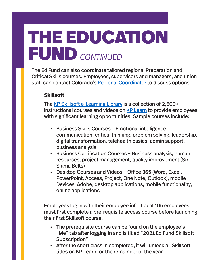The Ed Fund can also coordinate tailored regional Preparation and Critical Skills courses. Employees, supervisors and managers, and union staff can contact Colorado's Regional Coordinator to discuss options.

#### **Skillsoft**

The KP Skillsoft e-Learning Library is a collection of 2,600+ instructional courses and videos on KP Learn to provide employees with significant learning opportunities. Sample courses include:

- **•** Business Skills Courses Emotional intelligence, communication, critical thinking, problem solving, leadership, digital transformation, telehealth basics, admin support, business analysis
- **•** Business Certification Courses Business analysis, human resources, project management, quality improvement (Six Sigma Belts)
- **•** Desktop Courses and Videos Office 365 (Word, Excel, PowerPoint, Access, Project, One Note, Outlook), mobile Devices, Adobe, desktop applications, mobile functionality, online applications

Employees log in with their employee info. Local 105 employees must first complete a pre-requisite access course before launching their first Skillsoft course.

- **•** The prerequisite course can be found on the employee's "Me" tab after logging in and is titled "2021 Ed Fund Skillsoft Subscription"
- **•** After the short class in completed, it will unlock all Skillsoft titles on KP Learn for the remainder of the year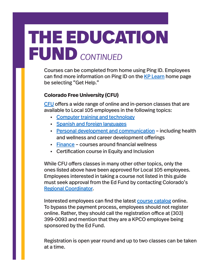Courses can be completed from home using Ping ID. Employees can find more information on Ping ID on the KP Learn home page be selecting "Get Help."

#### **Colorado Free University (CFU)**

CFU offers a wide range of online and in-person classes that are available to Local 105 employees in the following topics:

- **•** Computer training and technology
- **•** Spanish and foreign languages
- **•** Personal development and communication including health and wellness and career development offerings
- **•** Finance courses around financial wellness
- **•** Certification course in Equity and Inclusion

While CFU offers classes in many other other topics, only the ones listed above have been approved for Local 105 employees. Employees interested in taking a course not listed in this guide must seek approval from the Ed Fund by contacting Colorado's Regional Coordinator.

Interested employees can find the latest course catalog online. To bypass the payment process, employees should not register online. Rather, they should call the registration office at (303) 399-0093 and mention that they are a KPCO employee being sponsored by the Ed Fund.

Registration is open year round and up to two classes can be taken at a time.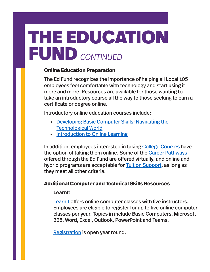#### **Online Education Preparation**

The Ed Fund recognizes the importance of helping all Local 105 employees feel comfortable with technology and start using it more and more. Resources are available for those wanting to take an introductory course all the way to those seeking to earn a certificate or degree online.

Introductory online education courses include:

- **•** Developing Basic Computer Skills: Navigating the Technological World
- **•** Introduction to Online Learning

In addition, employees interested in taking College Courses have the option of taking them online. Some of the Career Pathways offered through the Ed Fund are offered virtually, and online and hybrid programs are acceptable for **Tuition Support**, as long as they meet all other criteria.

#### **Additional Computer and Technical Skills Resources**

#### **LearnIt**

LearnIt offers online computer classes with live instructors. Employees are eligible to register for up to five online computer classes per year. Topics in include Basic Computers, Microsoft 365, Word, Excel, Outlook, PowerPoint and Teams.

Registration is open year round.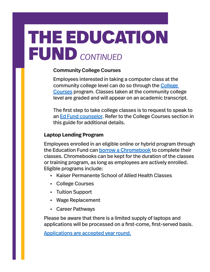#### **Community College Courses**

Employees interested in taking a computer class at the community college level can do so through the College Courses program. Classes taken at the community college level are graded and will appear on an academic transcript.

The first step to take college classes is to request to speak to an Ed Fund counselor. Refer to the College Courses section in this guide for additional details.

#### **Laptop Lending Program**

Employees enrolled in an eligible online or hybrid program through the Education Fund can borrow a Chromebook to complete their classes. Chromebooks can be kept for the duration of the classes or training program, as long as employees are actively enrolled. Eligible programs include:

- **•** Kaiser Permanente School of Allied Health Classes
- **•** College Courses
- **•** Tuition Support
- **•** Wage Replacement
- **•** Career Pathways

Please be aware that there is a limited supply of laptops and applications will be processed on a first-come, first-served basis.

Applications are accepted year round.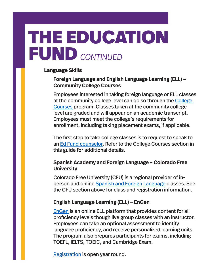#### **Language Skills**

#### **Foreign Language and English Language Learning (ELL) – Community College Courses**

Employees interested in taking foreign language or ELL classes at the community college level can do so through the College Courses program. Classes taken at the community college level are graded and will appear on an academic transcript. Employees must meet the college's requirements for enrollment, including taking placement exams, if applicable.

The first step to take college classes is to request to speak to an Ed Fund counselor. Refer to the College Courses section in this guide for additional details.

#### **Spanish Academy and Foreign Language – Colorado Free University**

Colorado Free University (CFU) is a regional provider of inperson and online Spanish and Foreign Language classes. See the CFU section above for class and registration information.

#### **English Language Learning (ELL) – EnGen**

EnGen is an online ELL platform that provides content for all proficiency levels though live group classes with an instructor. Employees can take an optional assessment to identify language proficiency, and receive personalized learning units. The program also prepares participants for exams, including TOEFL, IELTS, TOEIC, and Cambridge Exam.

Registration is open year round.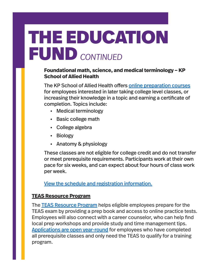#### **Foundational math, science, and medical terminology – KP School of Allied Health**

The KP School of Allied Health offers online preparation courses for employees interested in later taking college level classes, or increasing their knowledge in a topic and earning a certificate of completion. Topics include:

- **•** Medical terminology
- **•** Basic college math
- **•** College algebra
- **•** Biology
- **•** Anatomy & physiology

These classes are not eligible for college credit and do not transfer or meet prerequisite requirements. Participants work at their own pace for six weeks, and can expect about four hours of class work per week.

View the schedule and registration information.

#### **TEAS Resource Program**

The **TEAS Resource Program** helps eligible employees prepare for the TEAS exam by providing a prep book and access to online practice tests. Employees will also connect with a career counselor, who can help find local prep workshops and provide study and time management tips. Applications are open year-round for employees who have completed all prerequisite classes and only need the TEAS to qualify for a training program.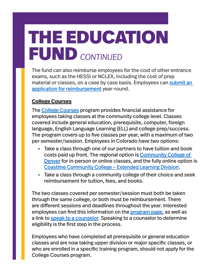The fund can also reimburse employees for the cost of other entrance exams, such as the HESSI or NCLEX, including the cost of prep material or classes, on a case by case basis. Employees can submit an application for reimbursement year-round.

#### **College Courses**

The College Courses program provides financial assistance for employees taking classes at the community college level. Classes covered include general education, prerequisite, computer, foreign language, English Language Learning (ELL) and college prep/success. The program covers up to five classes per year, with a maximum of two per semester/session. Employees in Colorado have two options:

- **•** Take a class through one of our partners to have tuition and book costs paid up front. The regional option is Community College of Denver for in-person or online classes, and the fully online option is Coastline Community College – Extended Learning Division.
- **•** Take a class through a community college of their choice and seek reimbursement for tuition, fees, and books.

The two classes covered per semester/session must both be taken through the same college, or both must be reimbursement. There are different sessions and deadlines throughout the year. Interested employees can find this information on the program page, as well as a link to speak to a counselor. Speaking to a counselor to determine eligibility is the first step in the process.

Employees who have completed all prerequisite or general education classes and are now taking upper division or major specific classes, or who are enrolled in a specific training program, should not apply for the College Courses program.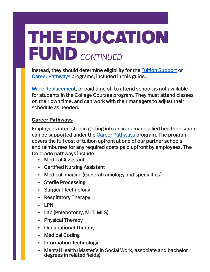Instead, they should determine eligibility for the Tuition Support or Career Pathways programs, included in this guide.

Wage Replacement, or paid time off to attend school, is not available for students in the College Courses program. They must attend classes on their own time, and can work with their managers to adjust their schedule as needed.

#### **Career Pathways**

Employees interested in getting into an in-demand allied health position can be supported under the Career Pathways program. The program covers the full cost of tuition upfront at one of our partner schools, and reimburses for any required costs paid upfront by employees. The Colorado pathways include:

- **•** Medical Assistant
- **•** Certified Nursing Assistant
- **•** Medical Imaging (General radiology and specialties)
- **•** Sterile Processing
- **•** Surgical Technology
- **•** Respiratory Therapy
- **•** LPN
- **•** Lab (Phlebotomy, MLT, MLS)
- **•** Physical Therapy
- **•** Occupational Therapy
- **•** Medical Coding
- **•** Information Technology
- **•** Mental Health (Master's in Social Work, associate and bachelor degrees in related fields)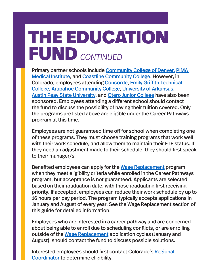Primary partner schools include Community College of Denver, PIMA Medical Institute, and Coastline Community College. However, in Colorado, employees attending Concorde, Emily Griffith Technical College, Arapahoe Community College, University of Arkansas, Austin Peay State University, and Otero Junior College have also been sponsored. Employees attending a different school should contact the fund to discuss the possibility of having their tuition covered. Only the programs are listed above are eligible under the Career Pathways program at this time.

Employees are not guaranteed time off for school when completing one of these programs. They must choose training programs that work well with their work schedule, and allow them to maintain their FTE status. If they need an adjustment made to their schedule, they should first speak to their manager/s.

Benefited employees can apply for the Wage Replacement program when they meet eligibility criteria while enrolled in the Career Pathways program, but acceptance is not guaranteed. Applicants are selected based on their graduation date, with those graduating first receiving priority. If accepted, employees can reduce their work schedule by up to 16 hours per pay period. The program typically accepts applications in January and August of every year. See the Wage Replacement section of this guide for detailed information.

Employees who are interested in a career pathway and are concerned about being able to enroll due to scheduling conflicts, or are enrolling outside of the Wage Replacement application cycles (January and August), should contact the fund to discuss possible solutions.

Interested employees should first contact Colorado's Regional Coordinator to determine eligibility.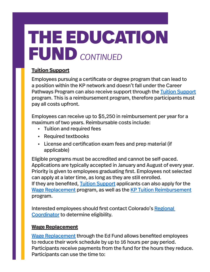#### **Tuition Support**

Employees pursuing a certificate or degree program that can lead to a position within the KP network and doesn't fall under the Career Pathways Program can also receive support through the Tuition Support program. This is a reimbursement program, therefore participants must pay all costs upfront.

Employees can receive up to \$5,250 in reimbursement per year for a maximum of two years. Reimbursable costs include:

- **•** Tuition and required fees
- **•** Required textbooks
- **•** License and certification exam fees and prep material (if applicable)

Eligible programs must be accredited and cannot be self-paced. Applications are typically accepted in January and August of every year. Priority is given to employees graduating first. Employees not selected can apply at a later time, as long as they are still enrolled. If they are benefited, Tuition Support applicants can also apply for the Wage Replacement program, as well as the KP Tuition Reimbursement program.

Interested employees should first contact Colorado's Regional Coordinator to determine eligibility.

#### **Wage Replacement**

Wage Replacement through the Ed Fund allows benefited employees to reduce their work schedule by up to 16 hours per pay period. Participants receive payments from the fund for the hours they reduce. Participants can use the time to: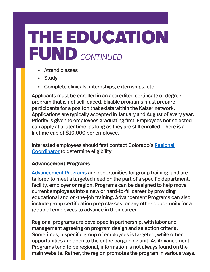- **•** Attend classes
- **•** Study
- **•** Complete clinicals, internships, externships, etc.

Applicants must be enrolled in an accredited certificate or degree program that is not self-paced. Eligible programs must prepare participants for a positon that exists within the Kaiser network. Applications are typically accepted in January and August of every year. Priority is given to employees graduating first. Employees not selected can apply at a later time, as long as they are still enrolled. There is a lifetime cap of \$10,000 per employee.

Interested employees should first contact Colorado's Regional Coordinator to determine eligibility.

#### **Advancement Programs**

Advancement Programs are opportunities for group training, and are tailored to meet a targeted need on the part of a specific department, facility, employer or region. Programs can be designed to help move current employees into a new or hard-to-fill career by providing educational and on-the-job training. Advancement Programs can also include group certification prep classes, or any other opportunity for a group of employees to advance in their career.

Regional programs are developed in partnership, with labor and management agreeing on program design and selection criteria. Sometimes, a specific group of employees is targeted, while other opportunities are open to the entire bargaining unit. As Advancement Programs tend to be regional, information is not always found on the main website. Rather, the region promotes the program in various ways.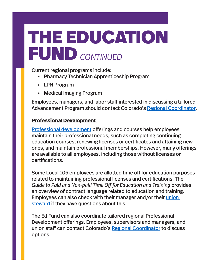Current regional programs include:

- **•** Pharmacy Technician Apprenticeship Program
- **•** LPN Program
- **•** Medical Imaging Program

Employees, managers, and labor staff interested in discussing a tailored Advancement Program should contact Colorado's Regional Coordinator.

#### **Professional Development**

Professional development offerings and courses help employees maintain their professional needs, such as completing continuing education courses, renewing licenses or certificates and attaining new ones, and maintain professional memberships. However, many offerings are available to all employees, including those without licenses or certifications.

Some Local 105 employees are allotted time off for education purposes related to maintaining professional licenses and certifications. The *Guide to Paid and Non-paid Time Off for Education and Training* provides an overview of contract language related to education and training. Employees can also check with their manager and/or their union steward if they have questions about this.

The Ed Fund can also coordinate tailored regional Professional Development offerings. Employees, supervisors and managers, and union staff can contact Colorado's Regional Coordinator to discuss options.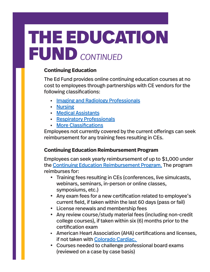#### **Continuing Education**

The Ed Fund provides online continuing education courses at no cost to employees through partnerships with CE vendors for the following classifications:

- **•** Imaging and Radiology Professionals
- **•** Nursing
- **•** Medical Assistants
- **•** Respiratory Professionals
- **•** More Classifications

Employees not currently covered by the current offerings can seek reimbursement for any training fees resulting in CEs.

#### **Continuing Education Reimbursement Program**

Employees can seek yearly reimbursement of up to \$1,000 under the Continuing Education Reimbursement Program. The program reimburses for:

- Training fees resulting in CEs (conferences, live simulcasts, webinars, seminars, in-person or online classes, symposiums, etc.)
- • Any exam fees for a new certification related to employee's current field, if taken within the last 60 days (pass or fail)
- • License renewals and membership fees
- Any review course/study material fees (including non-credit college courses), if taken within six (6) months prior to the certification exam
- **•** American Heart Association (AHA) certifications and licenses, if not taken with Colorado Cardiac.
- • Courses needed to challenge professional board exams (reviewed on a case by case basis)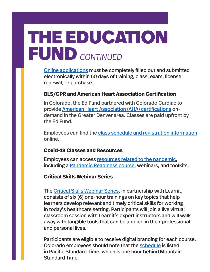Online applications must be completely filled out and submitted electronically within 60 days of training, class, exam, license renewal, or purchase.

#### **BLS/CPR and American Heart Association Certification**

In Colorado, the Ed Fund partnered with Colorado Cardiac to provide American Heart Association (AHA) certifications ondemand in the Greater Denver area. Classes are paid upfront by the Ed Fund.

Employees can find the class schedule and registration information online.

#### **Covid-19 Classes and Resources**

Employees can access resources related to the pandemic, including a Pandemic Readiness course, webinars, and toolkits.

#### **Critical Skills Webinar Series**

The Critical Skills Webinar Series, in partnership with Learnit, consists of six (6) one-hour trainings on key topics that help learners develop relevant and timely critical skills for working in today's healthcare setting. Participants will join a live virtual classroom session with Learnit's expert instructors and will walk away with tangible tools that can be applied in their professional and personal lives.

Participants are eligible to receive digital branding for each course. Colorado employees should note that the schedule is listed in Pacific Standard Time, which is one hour behind Mountain Standard Time.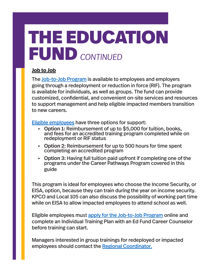#### **Job to Job**

The Job-to-Job Program is available to employees and employers going through a redeployment or reduction in force (RIF). The program is available for individuals, as well as groups. The fund can provide customized, confidential, and convenient on-site services and resources to support management and help eligible impacted members transition to new careers.

Eligible employees have three options for support:

- **•** Option 1: Reimbursement of up to \$5,000 for tuition, books, and fees for an accredited training program completed while on redeployment or RIF status
- **•** Option 2: Reimbursement for up to 500 hours for time spent completing an accredited program
- **•** Option 3: Having full tuition paid upfront if completing one of the programs under the Career Pathways Program covered in this guide

This program is ideal for employees who choose the Income Security, or EISA, option, because they can train during the year on income security. KPCO and Local 105 can also discuss the possibility of working part time while on EISA to allow impacted employees to attend school as well.

Eligible employees must apply for the Job-to-Job Program online and complete an Individual Training Plan with an Ed Fund Career Counselor before training can start.

Managers interested in group trainings for redeployed or impacted employees should contact the Regional Coordinator.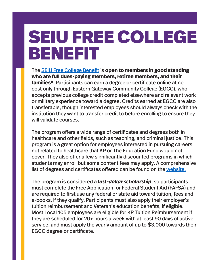### SEIU FREE COLLEGE BENEFIT

The SEIU Free College Benefit is **open to members in good standing who are full dues-paying members, retiree members, and their families\***. Participants can earn a degree or certificate online at no cost only through Eastern Gateway Community College (EGCC), who accepts previous college credit completed elsewhere and relevant work or military experience toward a degree. Credits earned at EGCC are also transferable, though interested employees should always check with the institution they want to transfer credit to before enrolling to ensure they will validate courses.

The program offers a wide range of certificates and degrees both in healthcare and other fields, such as teaching, and criminal justice. This program is a great option for employees interested in pursuing careers not related to healthcare that KP or The Education Fund would not cover. They also offer a few significantly discounted programs in which students may enroll but some content fees may apply. A comprehensive list of degrees and certificates offered can be found on the website.

The program is considered a *last-dollar scholarship*, so participants must complete the Free Application for Federal Student Aid (FAFSA) and are required to first use any federal or state aid toward tuition, fees and e-books, if they qualify. Participants must also apply their employer's tuition reimbursement and Veteran's education benefits, if eligible. Most Local 105 employees are eligible for KP Tuition Reimbursement if they are scheduled for 20+ hours a week with at least 90 days of active service, and must apply the yearly amount of up to \$3,000 towards their EGCC degree or certificate.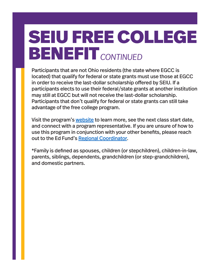## SEIU FREE COLLEGE BENEFIT *CONTINUED*

Participants that are not Ohio residents (the state where EGCC is located) that qualify for federal or state grants must use those at EGCC in order to receive the last-dollar scholarship offered by SEIU. If a participants elects to use their federal/state grants at another institution may still at EGCC but will not receive the last-dollar scholarship. Participants that don't qualify for federal or state grants can still take advantage of the free college program.

Visit the program's website to learn more, see the next class start date, and connect with a program representative. If you are unsure of how to use this program in conjunction with your other benefits, please reach out to the Ed Fund's Regional Coordinator.

\*Family is defined as spouses, children (or stepchildren), children-in-law, parents, siblings, dependents, grandchildren (or step-grandchildren), and domestic partners.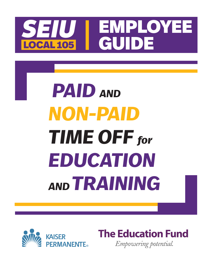## SEIU EMPLOYEE **OCAL 105**

## *PAID AND NON-PAID TIME OFF for EDUCATION AND TRAINING*



**The Education Fund** Empowering potential.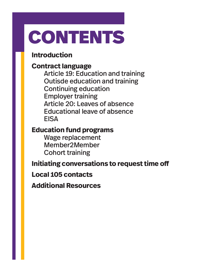## CONTENTS

### **Introduction**

#### **Contract language**

Article 19: Education and training Outisde education and training Continuing education Employer training Article 20: Leaves of absence Educational leave of absence **EISA** 

#### **Education fund programs**

Wage replacement Member2Member Cohort training

### **Initiating conversations to request time off**

#### **Local 105 contacts**

**Additional Resources**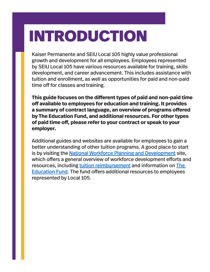### INTRODUCTION

Kaiser Permanente and SEIU Local 105 highly value professional growth and development for all employees. Employees represented by SEIU Local 105 have various resources available for training, skills development, and career advancement. This includes assistance with tuition and enrollment, as well as opportunities for paid and non-paid time off for classes and training.

**This guide focuses on the different types of paid and non-paid time off available to employees for education and training. It provides a summary of contract language, an overview of programs offered by The Education Fund, and additional resources. For other types of paid time off, please refer to your contract or speak to your employer.** 

Additional guides and websites are available for employees to gain a better understanding of other tuition programs. A good place to start is by visiting the National Workforce Planning and Development site, which offers a general overview of workforce development efforts and resources, including tuition reimbursement and information on The Education Fund. The fund offers additional resources to employees represented by Local 105.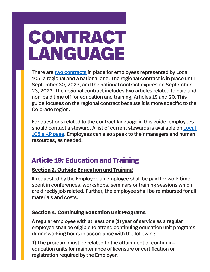## CONTRACT LANGUAGE

There are two contracts in place for employees represented by Local 105, a regional and a national one. The regional contract is in place until September 30, 2023, and the national contract expires on September 23, 2023. The regional contract includes two articles related to paid and non-paid time off for education and training, Articles 19 and 20. This guide focuses on the regional contract because it is more specific to the Colorado region.

For questions related to the contract language in this guide, employees should contact a steward. A list of current stewards is available on Local 105's KP page. Employees can also speak to their managers and human resources, as needed.

### **Article 19: Education and Training**

#### **Section 2. Outside Education and Training**

If requested by the Employer, an employee shall be paid for work time spent in conferences, workshops, seminars or training sessions which are directly job related. Further, the employee shall be reimbursed for all materials and costs.

#### **Section 4. Continuing Education Unit Programs**

A regular employee with at least one (1) year of service as a regular employee shall be eligible to attend continuing education unit programs during working hours in accordance with the following:

**1)** The program must be related to the attainment of continuing education units for maintenance of licensure or certification or registration required by the Employer.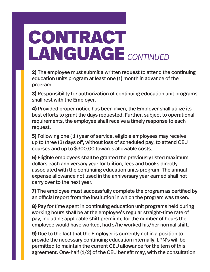**2)** The employee must submit a written request to attend the continuing education units program at least one (1) month in advance of the program.

**3)** Responsibility for authorization of continuing education unit programs shall rest with the Employer.

**4)** Provided proper notice has been given, the Employer shall utilize its best efforts to grant the days requested. Further, subject to operational requirements, the employee shall receive a timely response to each request.

**5)** Following one ( 1 ) year of service, eligible employees may receive up to three (3) days off, without loss of scheduled pay, to attend CEU courses and up to \$300.00 towards allowable costs.

**6)** Eligible employees shall be granted the previously listed maximum dollars each anniversary year for tuition, fees and books directly associated with the continuing education units program. The annual expense allowance not used in the anniversary year earned shall not carry over to the next year.

**7)** The employee must successfully complete the program as certified by an official report from the institution in which the program was taken.

**8)** Pay for time spent in continuing education unit programs held during working hours shall be at the employee's regular straight-time rate of pay, including applicable shift premium, for the number of hours the employee would have worked, had s/he worked his/her normal shift.

**9)** Due to the fact that the Employer is currently not in a position to provide the necessary continuing education internally, LPN's will be permitted to maintain the current CEU allowance for the tern of this agreement. One-half (1/2) of the CEU benefit may, with the consultation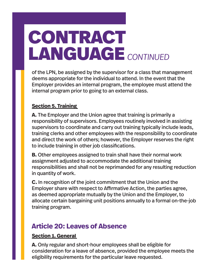of the LPN, be assigned by the supervisor for a class that management deems appropriate for the individual to attend. In the event that the Employer provides an internal program, the employee must attend the internal program prior to going to an external class.

#### **Section 5. Training**

**A.** The Employer and the Union agree that training is primarily a responsibility of supervisors. Employees routinely involved in assisting supervisors to coordinate and carry out training typically include leads, training clerks and other employees with the responsibility to coordinate and direct the work of others; however, the Employer reserves the right to include training in other job classifications.

**B.** Other employees assigned to train shall have their normal work assignment adjusted to accommodate the additional training responsibilities and shall not be reprimanded for any resulting reduction in quantity of work.

**C.** In recognition of the joint commitment that the Union and the Employer share with respect to Affirmative Action, the parties agree, as deemed appropriate mutually by the Union and the Employer, to allocate certain bargaining unit positions annually to a formal on-the-job training program.

### **Article 20: Leaves of Absence**

#### **Section 1. General**

**A.** Only regular and short-hour employees shall be eligible for consideration for a leave of absence, provided the employee meets the eligibility requirements for the particular leave requested.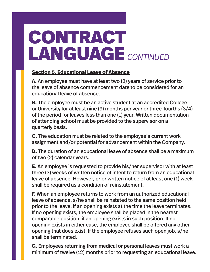#### **Section 5. Educational Leave of Absence**

**A.** An employee must have at least two (2) years of service prior to the leave of absence commencement date to be considered for an educational leave of absence.

**B.** The employee must be an active student at an accredited College or University for at least nine (9) months per year or three-fourths (3/4) of the period for leaves less than one (1) year. Written documentation of attending school must be provided to the supervisor on a quarterly basis.

**C.** The education must be related to the employee's current work assignment and/or potential for advancement within the Company.

**D.** The duration of an educational leave of absence shall be a maximum of two (2) calendar years.

**E.** An employee is requested to provide his/her supervisor with at least three (3) weeks of written notice of intent to return from an educational leave of absence. However, prior written notice of at least one (1) week shall be required as a condition of reinstatement.

**F.** When an employee returns to work from an authorized educational leave of absence, s/he shall be reinstated to the same position held prior to the leave, if an opening exists at the time the leave terminates. If no opening exists, the employee shall be placed in the nearest comparable position, if an opening exists in such position. If no opening exists in either case, the employee shall be offered any other opening that does exist. If the employee refuses such open job, s/he shall be terminated.

**G.** Employees returning from medical or personal leaves must work a minimum of twelve (12) months prior to requesting an educational leave.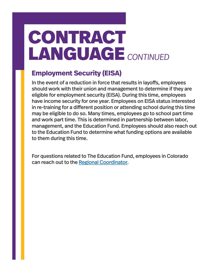### **Employment Security (EISA)**

In the event of a reduction in force that results in layoffs, employees should work with their union and management to determine if they are eligible for employment security (EISA). During this time, employees have income security for one year. Employees on EISA status interested in re-training for a different position or attending school during this time may be eligible to do so. Many times, employees go to school part time and work part time. This is determined in partnership between labor, management, and the Education Fund. Employees should also reach out to the Education Fund to determine what funding options are available to them during this time.

For questions related to The Education Fund, employees in Colorado can reach out to the Regional Coordinator.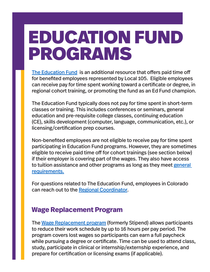### EDUCATION FUND PROGRAMS

The Education Fund is an additional resource that offers paid time off for benefited employees represented by Local 105. Eligible employees can receive pay for time spent working toward a certificate or degree, in regional cohort training, or promoting the fund as an Ed Fund champion.

The Education Fund typically does not pay for time spent in short-term classes or training. This includes conferences or seminars, general education and pre-requisite college classes, continuing education (CE), skills development (computer, language, communication, etc.), or licensing/certification prep courses.

Non-benefited employees are not eligible to receive pay for time spent participating in Education Fund programs. However, they are sometimes eligible to receive paid time off for cohort trainings (see section below) if their employer is covering part of the wages. They also have access to tuition assistance and other programs as long as they meet general requirements.

For questions related to The Education Fund, employees in Colorado can reach out to the Regional Coordinator.

### **Wage Replacement Program**

The Wage Replacement program (formerly Stipend) allows participants to reduce their work schedule by up to 16 hours per pay period. The program covers lost wages so participants can earn a full paycheck while pursuing a degree or certificate. Time can be used to attend class, study, participate in clinical or internship/externship experience, and prepare for certification or licensing exams (if applicable).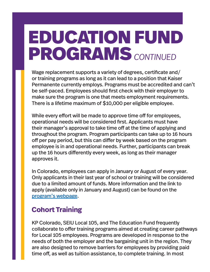### EDUCATION FUND PROGRAMS *CONTINUED*

Wage replacement supports a variety of degrees, certificate and/ or training programs as long as it can lead to a position that Kaiser Permanente currently employs. Programs must be accredited and can't be self-paced. Employees should first check with their employer to make sure the program is one that meets employment requirements. There is a lifetime maximum of \$10,000 per eligible employee.

While every effort will be made to approve time off for employees, operational needs will be considered first. Applicants must have their manager's approval to take time off at the time of applying and throughout the program. Program participants can take up to 16 hours off per pay period, but this can differ by week based on the program employee is in and operational needs. Further, participants can break up the 16 hours differently every week, as long as their manager approves it.

In Colorado, employees can apply in January or August of every year. Only applicants in their last year of school or training will be considered due to a limited amount of funds. More information and the link to apply (available only in January and August) can be found on the program's webpage.

### **Cohort Training**

KP Colorado, SEIU Local 105, and The Education Fund frequently collaborate to offer training programs aimed at creating career pathways for Local 105 employees. Programs are developed in response to the needs of both the employer and the bargaining unit in the region. They are also designed to remove barriers for employees by providing paid time off, as well as tuition assistance, to complete training. In most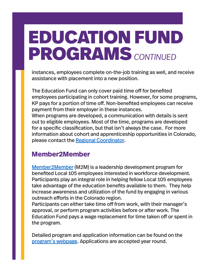### EDUCATION FUND PROGRAMS *CONTINUED*

instances, employees complete on-the-job training as well, and receive assistance with placement into a new position.

The Education Fund can only cover paid time off for benefited employees participating in cohort training. However, for some programs, KP pays for a portion of time off. Non-benefited employees can receive payment from their employer in these instances. When programs are developed, a communication with details is sent

out to eligible employees. Most of the time, programs are developed for a specific classification, but that isn't always the case. For more information about cohort and apprenticeship opportunities in Colorado, please contact the Regional Coordinator.

### **Member2Member**

Member2Member (M2M) is a leadership development program for benefited Local 105 employees interested in workforce development. Participants play an integral role in helping fellow Local 105 employees take advantage of the education benefits available to them. They help increase awareness and utilization of the fund by engaging in various outreach efforts in the Colorado region.

Participants can either take time off from work, with their manager's approval, or perform program activities before or after work. The Education Fund pays a wage replacement for time taken off or spent in the program.

Detailed program and application information can be found on the program's webpage. Applications are accepted year round.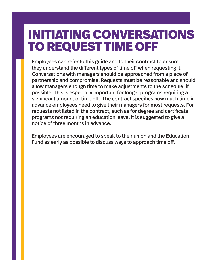### INITIATING CONVERSATIONS TO REQUEST TIME OFF

Employees can refer to this guide and to their contract to ensure they understand the different types of time off when requesting it. Conversations with managers should be approached from a place of partnership and compromise. Requests must be reasonable and should allow managers enough time to make adjustments to the schedule, if possible. This is especially important for longer programs requiring a significant amount of time off. The contract specifies how much time in advance employees need to give their managers for most requests. For requests not listed in the contract, such as for degree and certificate programs not requiring an education leave, it is suggested to give a notice of three months in advance.

Employees are encouraged to speak to their union and the Education Fund as early as possible to discuss ways to approach time off.